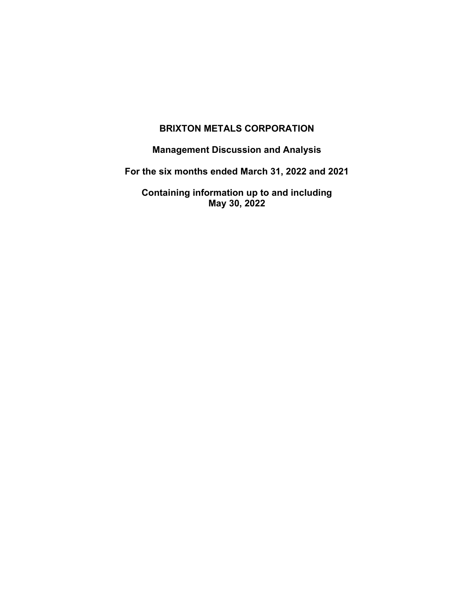# **BRIXTON METALS CORPORATION**

**Management Discussion and Analysis**

**For the six months ended March 31, 2022 and 2021**

**Containing information up to and including May 30, 2022**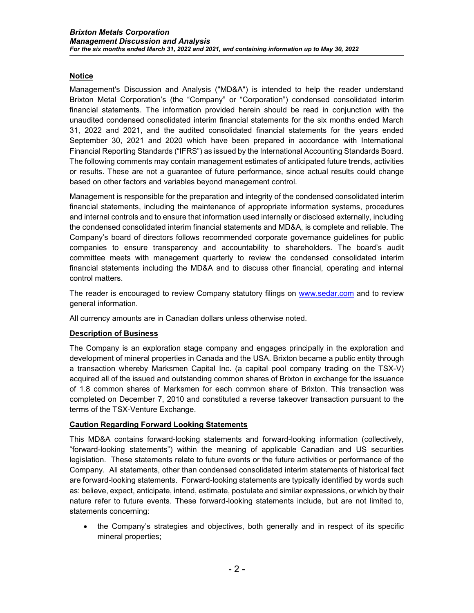# **Notice**

Management's Discussion and Analysis ("MD&A") is intended to help the reader understand Brixton Metal Corporation's (the "Company" or "Corporation") condensed consolidated interim financial statements. The information provided herein should be read in conjunction with the unaudited condensed consolidated interim financial statements for the six months ended March 31, 2022 and 2021, and the audited consolidated financial statements for the years ended September 30, 2021 and 2020 which have been prepared in accordance with International Financial Reporting Standards ("IFRS") as issued by the International Accounting Standards Board. The following comments may contain management estimates of anticipated future trends, activities or results. These are not a guarantee of future performance, since actual results could change based on other factors and variables beyond management control.

Management is responsible for the preparation and integrity of the condensed consolidated interim financial statements, including the maintenance of appropriate information systems, procedures and internal controls and to ensure that information used internally or disclosed externally, including the condensed consolidated interim financial statements and MD&A, is complete and reliable. The Company's board of directors follows recommended corporate governance guidelines for public companies to ensure transparency and accountability to shareholders. The board's audit committee meets with management quarterly to review the condensed consolidated interim financial statements including the MD&A and to discuss other financial, operating and internal control matters.

The reader is encouraged to review Company statutory filings on [www.sedar.com](http://www.sedar.com/) and to review general information.

All currency amounts are in Canadian dollars unless otherwise noted.

### **Description of Business**

The Company is an exploration stage company and engages principally in the exploration and development of mineral properties in Canada and the USA. Brixton became a public entity through a transaction whereby Marksmen Capital Inc. (a capital pool company trading on the TSX-V) acquired all of the issued and outstanding common shares of Brixton in exchange for the issuance of 1.8 common shares of Marksmen for each common share of Brixton. This transaction was completed on December 7, 2010 and constituted a reverse takeover transaction pursuant to the terms of the TSX-Venture Exchange.

### **Caution Regarding Forward Looking Statements**

This MD&A contains forward-looking statements and forward-looking information (collectively, "forward-looking statements") within the meaning of applicable Canadian and US securities legislation. These statements relate to future events or the future activities or performance of the Company. All statements, other than condensed consolidated interim statements of historical fact are forward-looking statements. Forward-looking statements are typically identified by words such as: believe, expect, anticipate, intend, estimate, postulate and similar expressions, or which by their nature refer to future events. These forward-looking statements include, but are not limited to, statements concerning:

• the Company's strategies and objectives, both generally and in respect of its specific mineral properties;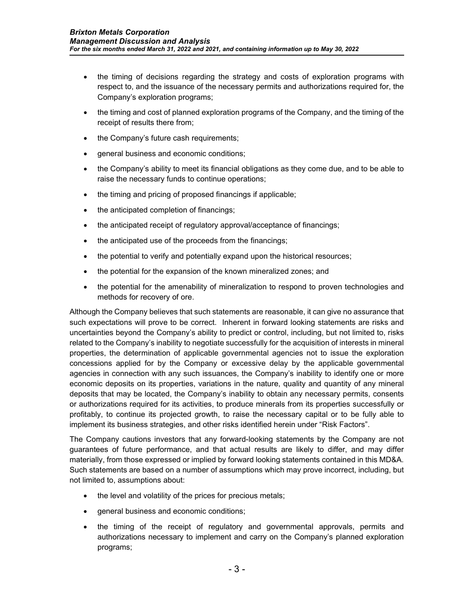- the timing of decisions regarding the strategy and costs of exploration programs with respect to, and the issuance of the necessary permits and authorizations required for, the Company's exploration programs;
- the timing and cost of planned exploration programs of the Company, and the timing of the receipt of results there from;
- the Company's future cash requirements;
- general business and economic conditions;
- the Company's ability to meet its financial obligations as they come due, and to be able to raise the necessary funds to continue operations;
- the timing and pricing of proposed financings if applicable;
- the anticipated completion of financings;
- the anticipated receipt of regulatory approval/acceptance of financings;
- the anticipated use of the proceeds from the financings;
- the potential to verify and potentially expand upon the historical resources;
- the potential for the expansion of the known mineralized zones; and
- the potential for the amenability of mineralization to respond to proven technologies and methods for recovery of ore.

Although the Company believes that such statements are reasonable, it can give no assurance that such expectations will prove to be correct. Inherent in forward looking statements are risks and uncertainties beyond the Company's ability to predict or control, including, but not limited to, risks related to the Company's inability to negotiate successfully for the acquisition of interests in mineral properties, the determination of applicable governmental agencies not to issue the exploration concessions applied for by the Company or excessive delay by the applicable governmental agencies in connection with any such issuances, the Company's inability to identify one or more economic deposits on its properties, variations in the nature, quality and quantity of any mineral deposits that may be located, the Company's inability to obtain any necessary permits, consents or authorizations required for its activities, to produce minerals from its properties successfully or profitably, to continue its projected growth, to raise the necessary capital or to be fully able to implement its business strategies, and other risks identified herein under "Risk Factors".

The Company cautions investors that any forward-looking statements by the Company are not guarantees of future performance, and that actual results are likely to differ, and may differ materially, from those expressed or implied by forward looking statements contained in this MD&A. Such statements are based on a number of assumptions which may prove incorrect, including, but not limited to, assumptions about:

- the level and volatility of the prices for precious metals;
- general business and economic conditions;
- the timing of the receipt of regulatory and governmental approvals, permits and authorizations necessary to implement and carry on the Company's planned exploration programs;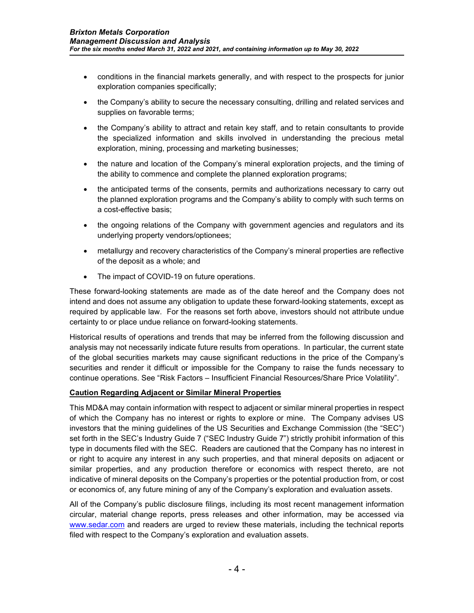- conditions in the financial markets generally, and with respect to the prospects for junior exploration companies specifically;
- the Company's ability to secure the necessary consulting, drilling and related services and supplies on favorable terms;
- the Company's ability to attract and retain key staff, and to retain consultants to provide the specialized information and skills involved in understanding the precious metal exploration, mining, processing and marketing businesses;
- the nature and location of the Company's mineral exploration projects, and the timing of the ability to commence and complete the planned exploration programs;
- the anticipated terms of the consents, permits and authorizations necessary to carry out the planned exploration programs and the Company's ability to comply with such terms on a cost-effective basis;
- the ongoing relations of the Company with government agencies and regulators and its underlying property vendors/optionees;
- metallurgy and recovery characteristics of the Company's mineral properties are reflective of the deposit as a whole; and
- The impact of COVID-19 on future operations.

These forward-looking statements are made as of the date hereof and the Company does not intend and does not assume any obligation to update these forward-looking statements, except as required by applicable law. For the reasons set forth above, investors should not attribute undue certainty to or place undue reliance on forward-looking statements.

Historical results of operations and trends that may be inferred from the following discussion and analysis may not necessarily indicate future results from operations. In particular, the current state of the global securities markets may cause significant reductions in the price of the Company's securities and render it difficult or impossible for the Company to raise the funds necessary to continue operations. See "Risk Factors – Insufficient Financial Resources/Share Price Volatility".

### **Caution Regarding Adjacent or Similar Mineral Properties**

This MD&A may contain information with respect to adjacent or similar mineral properties in respect of which the Company has no interest or rights to explore or mine. The Company advises US investors that the mining guidelines of the US Securities and Exchange Commission (the "SEC") set forth in the SEC's Industry Guide 7 ("SEC Industry Guide 7") strictly prohibit information of this type in documents filed with the SEC. Readers are cautioned that the Company has no interest in or right to acquire any interest in any such properties, and that mineral deposits on adjacent or similar properties, and any production therefore or economics with respect thereto, are not indicative of mineral deposits on the Company's properties or the potential production from, or cost or economics of, any future mining of any of the Company's exploration and evaluation assets.

All of the Company's public disclosure filings, including its most recent management information circular, material change reports, press releases and other information, may be accessed via [www.sedar.com](http://www.sedar.com/) and readers are urged to review these materials, including the technical reports filed with respect to the Company's exploration and evaluation assets.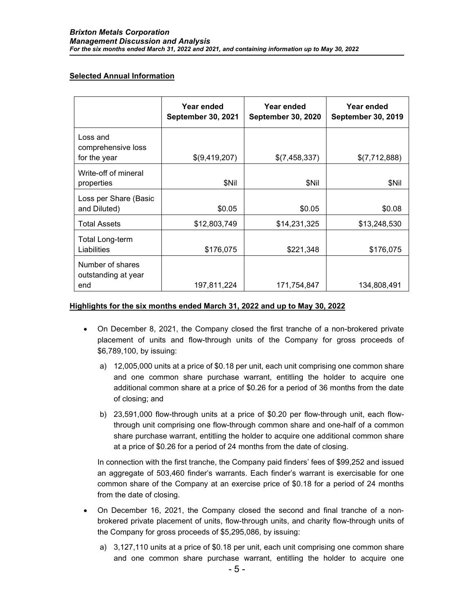### **Selected Annual Information**

|                                                | Year ended<br><b>September 30, 2021</b> | Year ended<br><b>September 30, 2020</b> | Year ended<br><b>September 30, 2019</b> |
|------------------------------------------------|-----------------------------------------|-----------------------------------------|-----------------------------------------|
| Loss and<br>comprehensive loss<br>for the year | \$(9,419,207)                           | \$(7,458,337)                           | \$(7,712,888)                           |
| Write-off of mineral<br>properties             | \$Nil                                   | \$Nil                                   | \$Nil                                   |
| Loss per Share (Basic<br>and Diluted)          | \$0.05                                  | \$0.05                                  | \$0.08                                  |
| <b>Total Assets</b>                            | \$12,803,749                            | \$14,231,325                            | \$13,248,530                            |
| <b>Total Long-term</b><br>Liabilities          | \$176,075                               | \$221,348                               | \$176,075                               |
| Number of shares<br>outstanding at year<br>end | 197,811,224                             | 171,754,847                             | 134,808,491                             |

### **Highlights for the six months ended March 31, 2022 and up to May 30, 2022**

- On December 8, 2021, the Company closed the first tranche of a non-brokered private placement of units and flow-through units of the Company for gross proceeds of \$6,789,100, by issuing:
	- a) 12,005,000 units at a price of \$0.18 per unit, each unit comprising one common share and one common share purchase warrant, entitling the holder to acquire one additional common share at a price of \$0.26 for a period of 36 months from the date of closing; and
	- b) 23,591,000 flow-through units at a price of \$0.20 per flow-through unit, each flowthrough unit comprising one flow-through common share and one-half of a common share purchase warrant, entitling the holder to acquire one additional common share at a price of \$0.26 for a period of 24 months from the date of closing.

In connection with the first tranche, the Company paid finders' fees of \$99,252 and issued an aggregate of 503,460 finder's warrants. Each finder's warrant is exercisable for one common share of the Company at an exercise price of \$0.18 for a period of 24 months from the date of closing.

- On December 16, 2021, the Company closed the second and final tranche of a nonbrokered private placement of units, flow-through units, and charity flow-through units of the Company for gross proceeds of \$5,295,086, by issuing:
	- a) 3,127,110 units at a price of \$0.18 per unit, each unit comprising one common share and one common share purchase warrant, entitling the holder to acquire one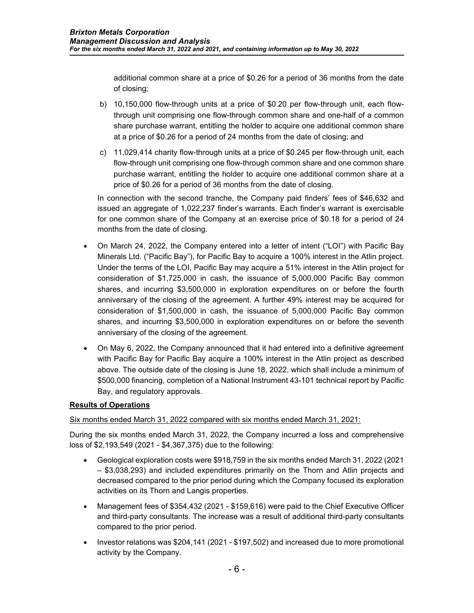additional common share at a price of \$0.26 for a period of 36 months from the date of closing;

- b) 10,150,000 flow-through units at a price of \$0.20 per flow-through unit, each flowthrough unit comprising one flow-through common share and one-half of a common share purchase warrant, entitling the holder to acquire one additional common share at a price of \$0.26 for a period of 24 months from the date of closing; and
- c) 11,029,414 charity flow-through units at a price of \$0.245 per flow-through unit, each flow-through unit comprising one flow-through common share and one common share purchase warrant, entitling the holder to acquire one additional common share at a price of \$0.26 for a period of 36 months from the date of closing.

In connection with the second tranche, the Company paid finders' fees of \$46,632 and issued an aggregate of 1,022,237 finder's warrants. Each finder's warrant is exercisable for one common share of the Company at an exercise price of \$0.18 for a period of 24 months from the date of closing.

- On March 24, 2022, the Company entered into a letter of intent ("LOI") with Pacific Bay Minerals Ltd. ("Pacific Bay"), for Pacific Bay to acquire a 100% interest in the Atlin project. Under the terms of the LOI, Pacific Bay may acquire a 51% interest in the Atlin project for consideration of \$1,725,000 in cash, the issuance of 5,000,000 Pacific Bay common shares, and incurring \$3,500,000 in exploration expenditures on or before the fourth anniversary of the closing of the agreement. A further 49% interest may be acquired for consideration of \$1,500,000 in cash, the issuance of 5,000,000 Pacific Bay common shares, and incurring \$3,500,000 in exploration expenditures on or before the seventh anniversary of the closing of the agreement.
- On May 6, 2022, the Company announced that it had entered into a definitive agreement with Pacific Bay for Pacific Bay acquire a 100% interest in the Atlin project as described above. The outside date of the closing is June 18, 2022, which shall include a minimum of \$500,000 financing, completion of a National Instrument 43-101 technical report by Pacific Bay, and regulatory approvals.

### **Results of Operations**

### Six months ended March 31, 2022 compared with six months ended March 31, 2021:

During the six months ended March 31, 2022, the Company incurred a loss and comprehensive loss of \$2,193,549 (2021 - \$4,367,375) due to the following:

- Geological exploration costs were \$918,759 in the six months ended March 31, 2022 (2021 – \$3,038,293) and included expenditures primarily on the Thorn and Atlin projects and decreased compared to the prior period during which the Company focused its exploration activities on its Thorn and Langis properties.
- Management fees of \$354,432 (2021 \$159,616) were paid to the Chief Executive Officer and third-party consultants. The increase was a result of additional third-party consultants compared to the prior period.
- Investor relations was \$204,141 (2021 \$197,502) and increased due to more promotional activity by the Company.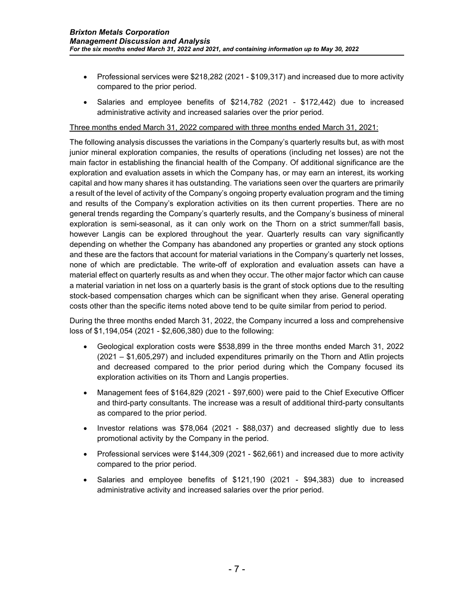- Professional services were \$218,282 (2021 \$109,317) and increased due to more activity compared to the prior period.
- Salaries and employee benefits of \$214,782 (2021 \$172,442) due to increased administrative activity and increased salaries over the prior period.

#### Three months ended March 31, 2022 compared with three months ended March 31, 2021:

The following analysis discusses the variations in the Company's quarterly results but, as with most junior mineral exploration companies, the results of operations (including net losses) are not the main factor in establishing the financial health of the Company. Of additional significance are the exploration and evaluation assets in which the Company has, or may earn an interest, its working capital and how many shares it has outstanding. The variations seen over the quarters are primarily a result of the level of activity of the Company's ongoing property evaluation program and the timing and results of the Company's exploration activities on its then current properties. There are no general trends regarding the Company's quarterly results, and the Company's business of mineral exploration is semi-seasonal, as it can only work on the Thorn on a strict summer/fall basis, however Langis can be explored throughout the year. Quarterly results can vary significantly depending on whether the Company has abandoned any properties or granted any stock options and these are the factors that account for material variations in the Company's quarterly net losses, none of which are predictable. The write-off of exploration and evaluation assets can have a material effect on quarterly results as and when they occur. The other major factor which can cause a material variation in net loss on a quarterly basis is the grant of stock options due to the resulting stock-based compensation charges which can be significant when they arise. General operating costs other than the specific items noted above tend to be quite similar from period to period.

During the three months ended March 31, 2022, the Company incurred a loss and comprehensive loss of \$1,194,054 (2021 - \$2,606,380) due to the following:

- Geological exploration costs were \$538,899 in the three months ended March 31, 2022 (2021 – \$1,605,297) and included expenditures primarily on the Thorn and Atlin projects and decreased compared to the prior period during which the Company focused its exploration activities on its Thorn and Langis properties.
- Management fees of \$164,829 (2021 \$97,600) were paid to the Chief Executive Officer and third-party consultants. The increase was a result of additional third-party consultants as compared to the prior period.
- Investor relations was \$78,064 (2021 \$88,037) and decreased slightly due to less promotional activity by the Company in the period.
- Professional services were \$144,309 (2021 \$62,661) and increased due to more activity compared to the prior period.
- Salaries and employee benefits of \$121,190 (2021 \$94,383) due to increased administrative activity and increased salaries over the prior period.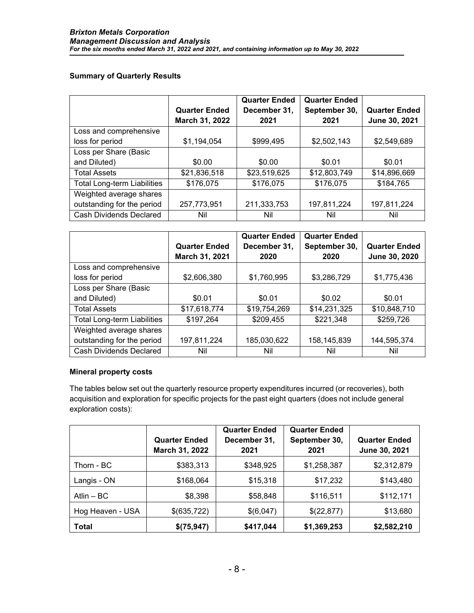### **Summary of Quarterly Results**

|                                    |                      | <b>Quarter Ended</b> | <b>Quarter Ended</b> |                      |
|------------------------------------|----------------------|----------------------|----------------------|----------------------|
|                                    | <b>Quarter Ended</b> | December 31,         | September 30,        | <b>Quarter Ended</b> |
|                                    | March 31, 2022       | 2021                 | 2021                 | June 30, 2021        |
| Loss and comprehensive             |                      |                      |                      |                      |
| loss for period                    | \$1,194,054          | \$999,495            | \$2,502,143          | \$2,549,689          |
| Loss per Share (Basic              |                      |                      |                      |                      |
| and Diluted)                       | \$0.00               | \$0.00               | \$0.01               | \$0.01               |
| <b>Total Assets</b>                | \$21,836,518         | \$23,519,625         | \$12,803,749         | \$14,896,669         |
| <b>Total Long-term Liabilities</b> | \$176,075            | \$176,075            | \$176,075            | \$184,765            |
| Weighted average shares            |                      |                      |                      |                      |
| outstanding for the period         | 257,773,951          | 211,333,753          | 197,811,224          | 197,811,224          |
| Cash Dividends Declared            | Nil                  | Nil                  | Nil                  | Nil                  |

|                                    |                      | <b>Quarter Ended</b> | <b>Quarter Ended</b> |                      |
|------------------------------------|----------------------|----------------------|----------------------|----------------------|
|                                    | <b>Quarter Ended</b> | December 31,         | September 30,        | <b>Quarter Ended</b> |
|                                    | March 31, 2021       | 2020                 | 2020                 | June 30, 2020        |
| Loss and comprehensive             |                      |                      |                      |                      |
| loss for period                    | \$2,606,380          | \$1,760,995          | \$3,286,729          | \$1,775,436          |
| Loss per Share (Basic              |                      |                      |                      |                      |
| and Diluted)                       | \$0.01               | \$0.01               | \$0.02               | \$0.01               |
| <b>Total Assets</b>                | \$17,618,774         | \$19,754,269         | \$14,231,325         | \$10,848,710         |
| <b>Total Long-term Liabilities</b> | \$197,264            | \$209,455            | \$221,348            | \$259,726            |
| Weighted average shares            |                      |                      |                      |                      |
| outstanding for the period         | 197,811,224          | 185,030,622          | 158,145,839          | 144,595,374          |
| Cash Dividends Declared            | Nil                  | Nil                  | Nil                  | Nil                  |

### **Mineral property costs**

The tables below set out the quarterly resource property expenditures incurred (or recoveries), both acquisition and exploration for specific projects for the past eight quarters (does not include general exploration costs):

|                  | <b>Quarter Ended</b><br>March 31, 2022 | <b>Quarter Ended</b><br>December 31,<br>2021 | <b>Quarter Ended</b><br>September 30,<br>2021 | <b>Quarter Ended</b><br>June 30, 2021 |
|------------------|----------------------------------------|----------------------------------------------|-----------------------------------------------|---------------------------------------|
| Thorn - BC       | \$383,313                              | \$348,925                                    | \$1,258,387                                   | \$2,312,879                           |
| Langis - ON      | \$168,064                              | \$15,318                                     | \$17,232                                      | \$143,480                             |
| Atlin $-$ BC     | \$8,398                                | \$58,848                                     | \$116,511                                     | \$112,171                             |
| Hog Heaven - USA | \$(635,722)                            | \$(6,047)                                    | \$(22,877)                                    | \$13,680                              |
| <b>Total</b>     | \$(75,947)                             | \$417,044                                    | \$1,369,253                                   | \$2,582,210                           |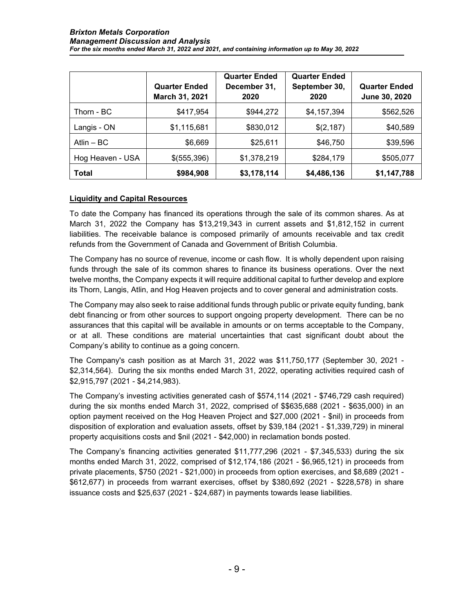|                  | <b>Quarter Ended</b><br>March 31, 2021 | <b>Quarter Ended</b><br>December 31,<br>2020 | <b>Quarter Ended</b><br>September 30,<br>2020 | <b>Quarter Ended</b><br>June 30, 2020 |
|------------------|----------------------------------------|----------------------------------------------|-----------------------------------------------|---------------------------------------|
| Thorn - BC       | \$417,954                              | \$944,272                                    | \$4,157,394                                   | \$562,526                             |
| Langis - ON      | \$1,115,681                            | \$830,012                                    | \$(2,187)                                     | \$40,589                              |
| Atlin $-$ BC     | \$6,669                                | \$25,611                                     | \$46,750                                      | \$39,596                              |
| Hog Heaven - USA | \$(555,396)                            | \$1,378,219                                  | \$284,179                                     | \$505,077                             |
| <b>Total</b>     | \$984,908                              | \$3,178,114                                  | \$4,486,136                                   | \$1,147,788                           |

### **Liquidity and Capital Resources**

To date the Company has financed its operations through the sale of its common shares. As at March 31, 2022 the Company has \$13,219,343 in current assets and \$1,812,152 in current liabilities. The receivable balance is composed primarily of amounts receivable and tax credit refunds from the Government of Canada and Government of British Columbia.

The Company has no source of revenue, income or cash flow. It is wholly dependent upon raising funds through the sale of its common shares to finance its business operations. Over the next twelve months, the Company expects it will require additional capital to further develop and explore its Thorn, Langis, Atlin, and Hog Heaven projects and to cover general and administration costs.

The Company may also seek to raise additional funds through public or private equity funding, bank debt financing or from other sources to support ongoing property development. There can be no assurances that this capital will be available in amounts or on terms acceptable to the Company, or at all. These conditions are material uncertainties that cast significant doubt about the Company's ability to continue as a going concern.

The Company's cash position as at March 31, 2022 was \$11,750,177 (September 30, 2021 - \$2,314,564). During the six months ended March 31, 2022, operating activities required cash of \$2,915,797 (2021 - \$4,214,983).

The Company's investing activities generated cash of \$574,114 (2021 - \$746,729 cash required) during the six months ended March 31, 2022, comprised of \$\$635,688 (2021 - \$635,000) in an option payment received on the Hog Heaven Project and \$27,000 (2021 - \$nil) in proceeds from disposition of exploration and evaluation assets, offset by \$39,184 (2021 - \$1,339,729) in mineral property acquisitions costs and \$nil (2021 - \$42,000) in reclamation bonds posted.

The Company's financing activities generated \$11,777,296 (2021 - \$7,345,533) during the six months ended March 31, 2022, comprised of \$12,174,186 (2021 - \$6,965,121) in proceeds from private placements, \$750 (2021 - \$21,000) in proceeds from option exercises, and \$8,689 (2021 - \$612,677) in proceeds from warrant exercises, offset by \$380,692 (2021 - \$228,578) in share issuance costs and \$25,637 (2021 - \$24,687) in payments towards lease liabilities.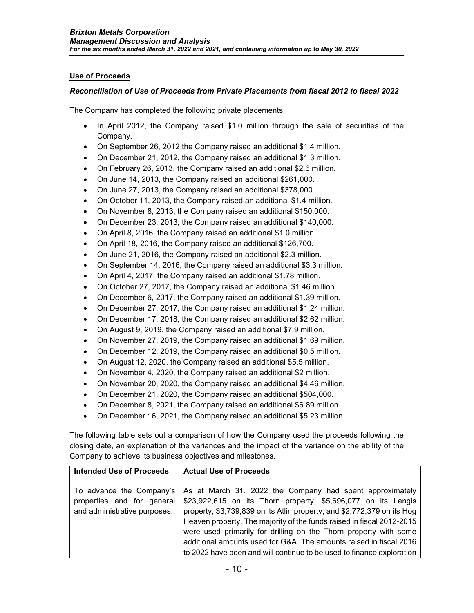# **Use of Proceeds**

### *Reconciliation of Use of Proceeds from Private Placements from fiscal 2012 to fiscal 2022*

The Company has completed the following private placements:

- In April 2012, the Company raised \$1.0 million through the sale of securities of the Company.
- On September 26, 2012 the Company raised an additional \$1.4 million.
- On December 21, 2012, the Company raised an additional \$1.3 million.
- On February 26, 2013, the Company raised an additional \$2.6 million.
- On June 14, 2013, the Company raised an additional \$261,000.
- On June 27, 2013, the Company raised an additional \$378,000.
- On October 11, 2013, the Company raised an additional \$1.4 million.
- On November 8, 2013, the Company raised an additional \$150,000.
- On December 23, 2013, the Company raised an additional \$140,000.
- On April 8, 2016, the Company raised an additional \$1.0 million.
- On April 18, 2016, the Company raised an additional \$126,700.
- On June 21, 2016, the Company raised an additional \$2.3 million.
- On September 14, 2016, the Company raised an additional \$3.3 million.
- On April 4, 2017, the Company raised an additional \$1.78 million.
- On October 27, 2017, the Company raised an additional \$1.46 million.
- On December 6, 2017, the Company raised an additional \$1.39 million.
- On December 27, 2017, the Company raised an additional \$1.24 million.
- On December 17, 2018, the Company raised an additional \$2.62 million.
- On August 9, 2019, the Company raised an additional \$7.9 million.
- On November 27, 2019, the Company raised an additional \$1.69 million.
- On December 12, 2019, the Company raised an additional \$0.5 million.
- On August 12, 2020, the Company raised an additional \$5.5 million.
- On November 4, 2020, the Company raised an additional \$2 million.
- On November 20, 2020, the Company raised an additional \$4.46 million.
- On December 21, 2020, the Company raised an additional \$504,000.
- On December 8, 2021, the Company raised an additional \$6.89 million.
- On December 16, 2021, the Company raised an additional \$5.23 million.

The following table sets out a comparison of how the Company used the proceeds following the closing date, an explanation of the variances and the impact of the variance on the ability of the Company to achieve its business objectives and milestones.

| <b>Intended Use of Proceeds</b> | <b>Actual Use of Proceeds</b>                                                       |
|---------------------------------|-------------------------------------------------------------------------------------|
|                                 |                                                                                     |
|                                 | To advance the Company's   As at March 31, 2022 the Company had spent approximately |
| properties and for general      | \$23,922,615 on its Thorn property, \$5,696,077 on its Langis                       |
| and administrative purposes.    | property, \$3,739,839 on its Atlin property, and \$2,772,379 on its Hog             |
|                                 | Heaven property. The majority of the funds raised in fiscal 2012-2015               |
|                                 | were used primarily for drilling on the Thorn property with some                    |
|                                 | additional amounts used for G&A. The amounts raised in fiscal 2016                  |
|                                 | to 2022 have been and will continue to be used to finance exploration               |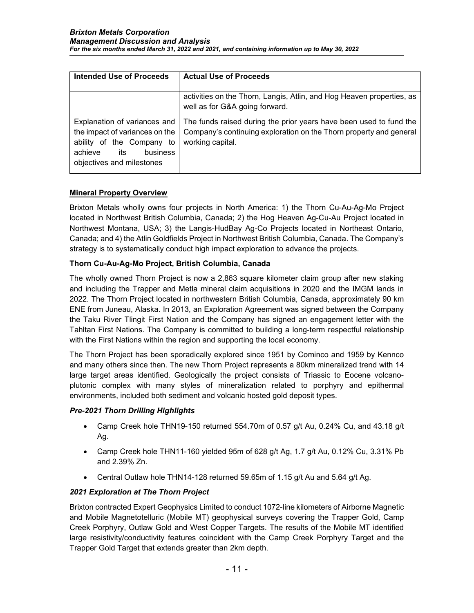| <b>Intended Use of Proceeds</b>                                                                                                                         | <b>Actual Use of Proceeds</b>                                                                                                                                |
|---------------------------------------------------------------------------------------------------------------------------------------------------------|--------------------------------------------------------------------------------------------------------------------------------------------------------------|
|                                                                                                                                                         | activities on the Thorn, Langis, Atlin, and Hog Heaven properties, as<br>well as for G&A going forward.                                                      |
| Explanation of variances and<br>the impact of variances on the<br>ability of the Company to<br>achieve<br>business<br>its:<br>objectives and milestones | The funds raised during the prior years have been used to fund the<br>Company's continuing exploration on the Thorn property and general<br>working capital. |

### **Mineral Property Overview**

Brixton Metals wholly owns four projects in North America: 1) the Thorn Cu-Au-Ag-Mo Project located in Northwest British Columbia, Canada; 2) the Hog Heaven Ag-Cu-Au Project located in Northwest Montana, USA; 3) the Langis-HudBay Ag-Co Projects located in Northeast Ontario, Canada; and 4) the Atlin Goldfields Project in Northwest British Columbia, Canada. The Company's strategy is to systematically conduct high impact exploration to advance the projects.

# **Thorn Cu-Au-Ag-Mo Project, British Columbia, Canada**

The wholly owned Thorn Project is now a 2,863 square kilometer claim group after new staking and including the Trapper and Metla mineral claim acquisitions in 2020 and the IMGM lands in 2022. The Thorn Project located in northwestern British Columbia, Canada, approximately 90 km ENE from Juneau, Alaska. In 2013, an Exploration Agreement was signed between the Company the Taku River Tlingit First Nation and the Company has signed an engagement letter with the Tahltan First Nations. The Company is committed to building a long-term respectful relationship with the First Nations within the region and supporting the local economy.

The Thorn Project has been sporadically explored since 1951 by Cominco and 1959 by Kennco and many others since then. The new Thorn Project represents a 80km mineralized trend with 14 large target areas identified. Geologically the project consists of Triassic to Eocene volcanoplutonic complex with many styles of mineralization related to porphyry and epithermal environments, included both sediment and volcanic hosted gold deposit types.

### *Pre-2021 Thorn Drilling Highlights*

- Camp Creek hole THN19-150 returned 554.70m of 0.57 g/t Au, 0.24% Cu, and 43.18 g/t Ag.
- Camp Creek hole THN11-160 yielded 95m of 628 g/t Ag, 1.7 g/t Au, 0.12% Cu, 3.31% Pb and 2.39% Zn.
- Central Outlaw hole THN14-128 returned 59.65m of 1.15 g/t Au and 5.64 g/t Ag.

### *2021 Exploration at The Thorn Project*

Brixton contracted Expert Geophysics Limited to conduct 1072-line kilometers of Airborne Magnetic and Mobile Magnetotelluric (Mobile MT) geophysical surveys covering the Trapper Gold, Camp Creek Porphyry, Outlaw Gold and West Copper Targets. The results of the Mobile MT identified large resistivity/conductivity features coincident with the Camp Creek Porphyry Target and the Trapper Gold Target that extends greater than 2km depth.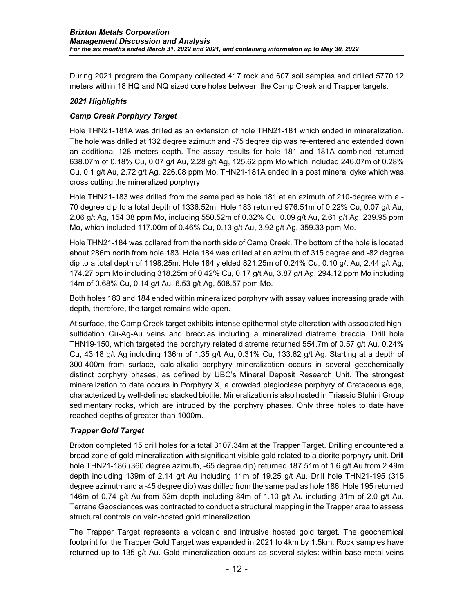During 2021 program the Company collected 417 rock and 607 soil samples and drilled 5770.12 meters within 18 HQ and NQ sized core holes between the Camp Creek and Trapper targets.

### *2021 Highlights*

### *Camp Creek Porphyry Target*

Hole THN21-181A was drilled as an extension of hole THN21-181 which ended in mineralization. The hole was drilled at 132 degree azimuth and -75 degree dip was re-entered and extended down an additional 128 meters depth. The assay results for hole 181 and 181A combined returned 638.07m of 0.18% Cu, 0.07 g/t Au, 2.28 g/t Ag, 125.62 ppm Mo which included 246.07m of 0.28% Cu, 0.1 g/t Au, 2.72 g/t Ag, 226.08 ppm Mo. THN21-181A ended in a post mineral dyke which was cross cutting the mineralized porphyry.

Hole THN21-183 was drilled from the same pad as hole 181 at an azimuth of 210-degree with a - 70 degree dip to a total depth of 1336.52m. Hole 183 returned 976.51m of 0.22% Cu, 0.07 g/t Au, 2.06 g/t Ag, 154.38 ppm Mo, including 550.52m of 0.32% Cu, 0.09 g/t Au, 2.61 g/t Ag, 239.95 ppm Mo, which included 117.00m of 0.46% Cu, 0.13 g/t Au, 3.92 g/t Ag, 359.33 ppm Mo.

Hole THN21-184 was collared from the north side of Camp Creek. The bottom of the hole is located about 286m north from hole 183. Hole 184 was drilled at an azimuth of 315 degree and -82 degree dip to a total depth of 1198.25m. Hole 184 yielded 821.25m of 0.24% Cu, 0.10 g/t Au, 2.44 g/t Ag, 174.27 ppm Mo including 318.25m of 0.42% Cu, 0.17 g/t Au, 3.87 g/t Ag, 294.12 ppm Mo including 14m of 0.68% Cu, 0.14 g/t Au, 6.53 g/t Ag, 508.57 ppm Mo.

Both holes 183 and 184 ended within mineralized porphyry with assay values increasing grade with depth, therefore, the target remains wide open.

At surface, the Camp Creek target exhibits intense epithermal-style alteration with associated highsulfidation Cu-Ag-Au veins and breccias including a mineralized diatreme breccia. Drill hole THN19-150, which targeted the porphyry related diatreme returned 554.7m of 0.57 g/t Au, 0.24% Cu, 43.18 g/t Ag including 136m of 1.35 g/t Au, 0.31% Cu, 133.62 g/t Ag. Starting at a depth of 300-400m from surface, calc-alkalic porphyry mineralization occurs in several geochemically distinct porphyry phases, as defined by UBC's Mineral Deposit Research Unit. The strongest mineralization to date occurs in Porphyry X, a crowded plagioclase porphyry of Cretaceous age, characterized by well-defined stacked biotite. Mineralization is also hosted in Triassic Stuhini Group sedimentary rocks, which are intruded by the porphyry phases. Only three holes to date have reached depths of greater than 1000m.

### *Trapper Gold Target*

Brixton completed 15 drill holes for a total 3107.34m at the Trapper Target. Drilling encountered a broad zone of gold mineralization with significant visible gold related to a diorite porphyry unit. Drill hole THN21-186 (360 degree azimuth, -65 degree dip) returned 187.51m of 1.6 g/t Au from 2.49m depth including 139m of 2.14 g/t Au including 11m of 19.25 g/t Au. Drill hole THN21-195 (315 degree azimuth and a -45 degree dip) was drilled from the same pad as hole 186. Hole 195 returned 146m of 0.74 g/t Au from 52m depth including 84m of 1.10 g/t Au including 31m of 2.0 g/t Au. Terrane Geosciences was contracted to conduct a structural mapping in the Trapper area to assess structural controls on vein-hosted gold mineralization.

The Trapper Target represents a volcanic and intrusive hosted gold target. The geochemical footprint for the Trapper Gold Target was expanded in 2021 to 4km by 1.5km. Rock samples have returned up to 135 g/t Au. Gold mineralization occurs as several styles: within base metal-veins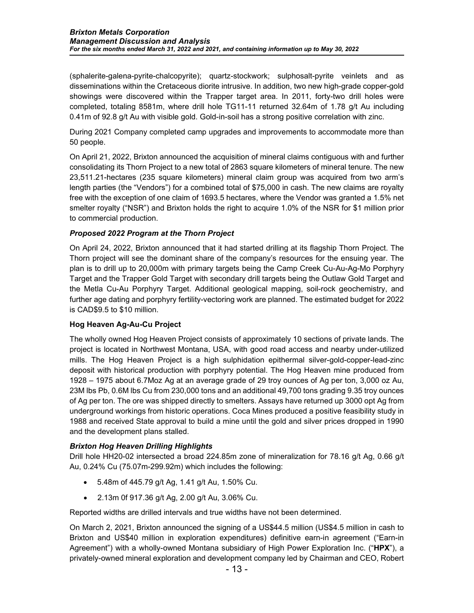(sphalerite-galena-pyrite-chalcopyrite); quartz-stockwork; sulphosalt-pyrite veinlets and as disseminations within the Cretaceous diorite intrusive. In addition, two new high-grade copper-gold showings were discovered within the Trapper target area. In 2011, forty-two drill holes were completed, totaling 8581m, where drill hole TG11-11 returned 32.64m of 1.78 g/t Au including 0.41m of 92.8 g/t Au with visible gold. Gold-in-soil has a strong positive correlation with zinc.

During 2021 Company completed camp upgrades and improvements to accommodate more than 50 people.

On April 21, 2022, Brixton announced the acquisition of mineral claims contiguous with and further consolidating its Thorn Project to a new total of 2863 square kilometers of mineral tenure. The new 23,511.21-hectares (235 square kilometers) mineral claim group was acquired from two arm's length parties (the "Vendors") for a combined total of \$75,000 in cash. The new claims are royalty free with the exception of one claim of 1693.5 hectares, where the Vendor was granted a 1.5% net smelter royalty ("NSR") and Brixton holds the right to acquire 1.0% of the NSR for \$1 million prior to commercial production.

# *Proposed 2022 Program at the Thorn Project*

On April 24, 2022, Brixton announced that it had started drilling at its flagship Thorn Project. The Thorn project will see the dominant share of the company's resources for the ensuing year. The plan is to drill up to 20,000m with primary targets being the Camp Creek Cu-Au-Ag-Mo Porphyry Target and the Trapper Gold Target with secondary drill targets being the Outlaw Gold Target and the Metla Cu-Au Porphyry Target. Additional geological mapping, soil-rock geochemistry, and further age dating and porphyry fertility-vectoring work are planned. The estimated budget for 2022 is CAD\$9.5 to \$10 million.

### **Hog Heaven Ag-Au-Cu Project**

The wholly owned Hog Heaven Project consists of approximately 10 sections of private lands. The project is located in Northwest Montana, USA, with good road access and nearby under-utilized mills. The Hog Heaven Project is a high sulphidation epithermal silver-gold-copper-lead-zinc deposit with historical production with porphyry potential. The Hog Heaven mine produced from 1928 – 1975 about 6.7Moz Ag at an average grade of 29 troy ounces of Ag per ton, 3,000 oz Au, 23M lbs Pb, 0.6M lbs Cu from 230,000 tons and an additional 49,700 tons grading 9.35 troy ounces of Ag per ton. The ore was shipped directly to smelters. Assays have returned up 3000 opt Ag from underground workings from historic operations. Coca Mines produced a positive feasibility study in 1988 and received State approval to build a mine until the gold and silver prices dropped in 1990 and the development plans stalled.

#### *Brixton Hog Heaven Drilling Highlights*

Drill hole HH20-02 intersected a broad 224.85m zone of mineralization for 78.16 g/t Ag, 0.66 g/t Au, 0.24% Cu (75.07m-299.92m) which includes the following:

- 5.48m of 445.79 g/t Ag, 1.41 g/t Au, 1.50% Cu.
- 2.13m 0f 917.36 g/t Ag, 2.00 g/t Au, 3.06% Cu.

Reported widths are drilled intervals and true widths have not been determined.

On March 2, 2021, Brixton announced the signing of a US\$44.5 million (US\$4.5 million in cash to Brixton and US\$40 million in exploration expenditures) definitive earn-in agreement ("Earn-in Agreement") with a wholly-owned Montana subsidiary of High Power Exploration Inc. ("**HPX**"), a privately-owned mineral exploration and development company led by Chairman and CEO, Robert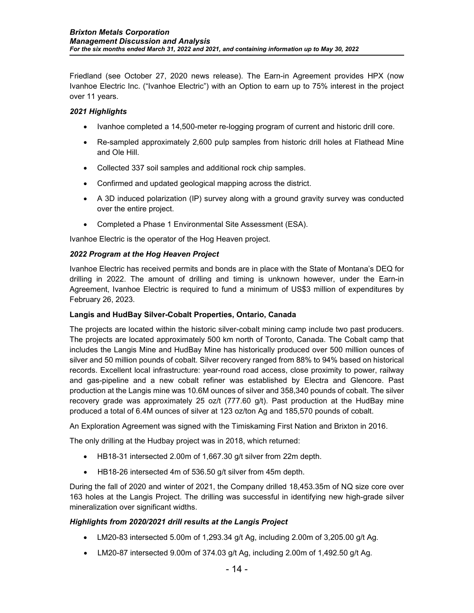Friedland (see October 27, 2020 news release). The Earn-in Agreement provides HPX (now Ivanhoe Electric Inc. ("Ivanhoe Electric") with an Option to earn up to 75% interest in the project over 11 years.

# *2021 Highlights*

- Ivanhoe completed a 14,500-meter re-logging program of current and historic drill core.
- Re-sampled approximately 2,600 pulp samples from historic drill holes at Flathead Mine and Ole Hill.
- Collected 337 soil samples and additional rock chip samples.
- Confirmed and updated geological mapping across the district.
- A 3D induced polarization (IP) survey along with a ground gravity survey was conducted over the entire project.
- Completed a Phase 1 Environmental Site Assessment (ESA).

Ivanhoe Electric is the operator of the Hog Heaven project.

### *2022 Program at the Hog Heaven Project*

Ivanhoe Electric has received permits and bonds are in place with the State of Montana's DEQ for drilling in 2022. The amount of drilling and timing is unknown however, under the Earn-in Agreement, Ivanhoe Electric is required to fund a minimum of US\$3 million of expenditures by February 26, 2023.

### **Langis and HudBay Silver-Cobalt Properties, Ontario, Canada**

The projects are located within the historic silver-cobalt mining camp include two past producers. The projects are located approximately 500 km north of Toronto, Canada. The Cobalt camp that includes the Langis Mine and HudBay Mine has historically produced over 500 million ounces of silver and 50 million pounds of cobalt. Silver recovery ranged from 88% to 94% based on historical records. Excellent local infrastructure: year-round road access, close proximity to power, railway and gas-pipeline and a new cobalt refiner was established by Electra and Glencore. Past production at the Langis mine was 10.6M ounces of silver and 358,340 pounds of cobalt. The silver recovery grade was approximately 25 oz/t (777.60 g/t). Past production at the HudBay mine produced a total of 6.4M ounces of silver at 123 oz/ton Ag and 185,570 pounds of cobalt.

An Exploration Agreement was signed with the Timiskaming First Nation and Brixton in 2016.

The only drilling at the Hudbay project was in 2018, which returned:

- HB18-31 intersected 2.00m of 1,667.30 g/t silver from 22m depth.
- HB18-26 intersected 4m of 536.50 g/t silver from 45m depth.

During the fall of 2020 and winter of 2021, the Company drilled 18,453.35m of NQ size core over 163 holes at the Langis Project. The drilling was successful in identifying new high-grade silver mineralization over significant widths.

### *Highlights from 2020/2021 drill results at the Langis Project*

- LM20-83 intersected 5.00m of 1,293.34 g/t Ag, including 2.00m of 3,205.00 g/t Ag.
- LM20-87 intersected 9.00m of 374.03 g/t Ag, including 2.00m of 1,492.50 g/t Ag.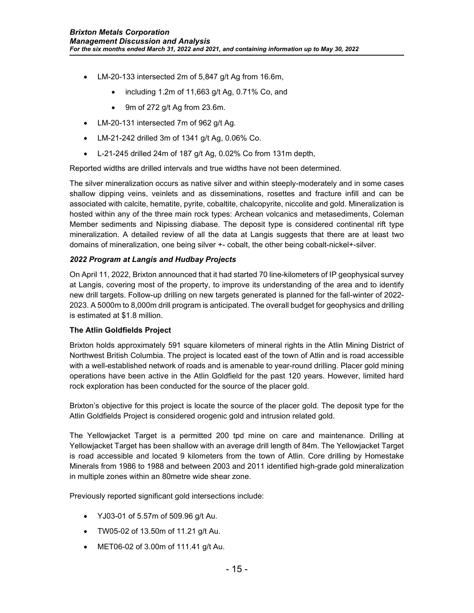- LM-20-133 intersected 2m of 5,847 g/t Ag from 16.6m,
	- including 1.2m of 11,663 g/t Ag, 0.71% Co, and
	- 9m of 272 g/t Ag from 23.6m.
- LM-20-131 intersected 7m of 962 g/t Ag.
- LM-21-242 drilled 3m of 1341 g/t Ag, 0.06% Co.
- L-21-245 drilled 24m of 187 g/t Ag, 0.02% Co from 131m depth,

Reported widths are drilled intervals and true widths have not been determined.

The silver mineralization occurs as native silver and within steeply-moderately and in some cases shallow dipping veins, veinlets and as disseminations, rosettes and fracture infill and can be associated with calcite, hematite, pyrite, cobaltite, chalcopyrite, niccolite and gold. Mineralization is hosted within any of the three main rock types: Archean volcanics and metasediments, Coleman Member sediments and Nipissing diabase. The deposit type is considered continental rift type mineralization. A detailed review of all the data at Langis suggests that there are at least two domains of mineralization, one being silver +- cobalt, the other being cobalt-nickel+-silver.

# *2022 Program at Langis and Hudbay Projects*

On April 11, 2022, Brixton announced that it had started 70 line-kilometers of IP geophysical survey at Langis, covering most of the property, to improve its understanding of the area and to identify new drill targets. Follow-up drilling on new targets generated is planned for the fall-winter of 2022- 2023. A 5000m to 8,000m drill program is anticipated. The overall budget for geophysics and drilling is estimated at \$1.8 million.

### **The Atlin Goldfields Project**

Brixton holds approximately 591 square kilometers of mineral rights in the Atlin Mining District of Northwest British Columbia. The project is located east of the town of Atlin and is road accessible with a well-established network of roads and is amenable to year-round drilling. Placer gold mining operations have been active in the Atlin Goldfield for the past 120 years. However, limited hard rock exploration has been conducted for the source of the placer gold.

Brixton's objective for this project is locate the source of the placer gold. The deposit type for the Atlin Goldfields Project is considered orogenic gold and intrusion related gold.

The Yellowjacket Target is a permitted 200 tpd mine on care and maintenance. Drilling at Yellowjacket Target has been shallow with an average drill length of 84m. The Yellowjacket Target is road accessible and located 9 kilometers from the town of Atlin. Core drilling by Homestake Minerals from 1986 to 1988 and between 2003 and 2011 identified high-grade gold mineralization in multiple zones within an 80metre wide shear zone.

Previously reported significant gold intersections include:

- YJ03-01 of 5.57m of 509.96 g/t Au.
- TW05-02 of 13.50m of 11.21 g/t Au.
- MET06-02 of 3.00m of 111.41 g/t Au.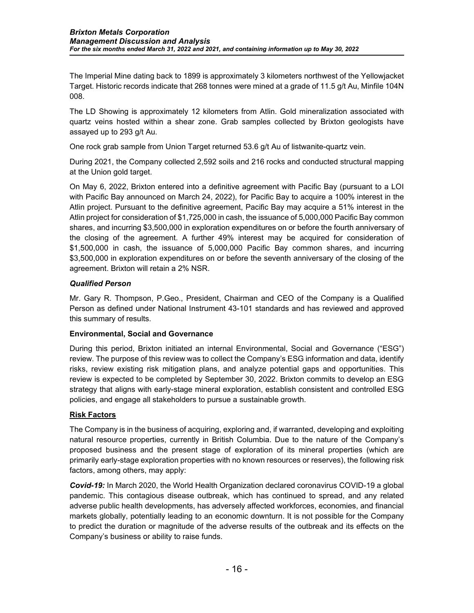The Imperial Mine dating back to 1899 is approximately 3 kilometers northwest of the Yellowjacket Target. Historic records indicate that 268 tonnes were mined at a grade of 11.5 g/t Au, Minfile 104N 008.

The LD Showing is approximately 12 kilometers from Atlin. Gold mineralization associated with quartz veins hosted within a shear zone. Grab samples collected by Brixton geologists have assayed up to 293 g/t Au.

One rock grab sample from Union Target returned 53.6 g/t Au of listwanite-quartz vein.

During 2021, the Company collected 2,592 soils and 216 rocks and conducted structural mapping at the Union gold target.

On May 6, 2022, Brixton entered into a definitive agreement with Pacific Bay (pursuant to a LOI with Pacific Bay announced on March 24, 2022), for Pacific Bay to acquire a 100% interest in the Atlin project. Pursuant to the definitive agreement, Pacific Bay may acquire a 51% interest in the Atlin project for consideration of \$1,725,000 in cash, the issuance of 5,000,000 Pacific Bay common shares, and incurring \$3,500,000 in exploration expenditures on or before the fourth anniversary of the closing of the agreement. A further 49% interest may be acquired for consideration of \$1,500,000 in cash, the issuance of 5,000,000 Pacific Bay common shares, and incurring \$3,500,000 in exploration expenditures on or before the seventh anniversary of the closing of the agreement. Brixton will retain a 2% NSR.

# *Qualified Person*

Mr. Gary R. Thompson, P.Geo., President, Chairman and CEO of the Company is a Qualified Person as defined under National Instrument 43-101 standards and has reviewed and approved this summary of results.

# **Environmental, Social and Governance**

During this period, Brixton initiated an internal Environmental, Social and Governance ("ESG") review. The purpose of this review was to collect the Company's ESG information and data, identify risks, review existing risk mitigation plans, and analyze potential gaps and opportunities. This review is expected to be completed by September 30, 2022. Brixton commits to develop an ESG strategy that aligns with early-stage mineral exploration, establish consistent and controlled ESG policies, and engage all stakeholders to pursue a sustainable growth.

# **Risk Factors**

The Company is in the business of acquiring, exploring and, if warranted, developing and exploiting natural resource properties, currently in British Columbia. Due to the nature of the Company's proposed business and the present stage of exploration of its mineral properties (which are primarily early-stage exploration properties with no known resources or reserves), the following risk factors, among others, may apply:

*Covid-19:* In March 2020, the World Health Organization declared coronavirus COVID-19 a global pandemic. This contagious disease outbreak, which has continued to spread, and any related adverse public health developments, has adversely affected workforces, economies, and financial markets globally, potentially leading to an economic downturn. It is not possible for the Company to predict the duration or magnitude of the adverse results of the outbreak and its effects on the Company's business or ability to raise funds.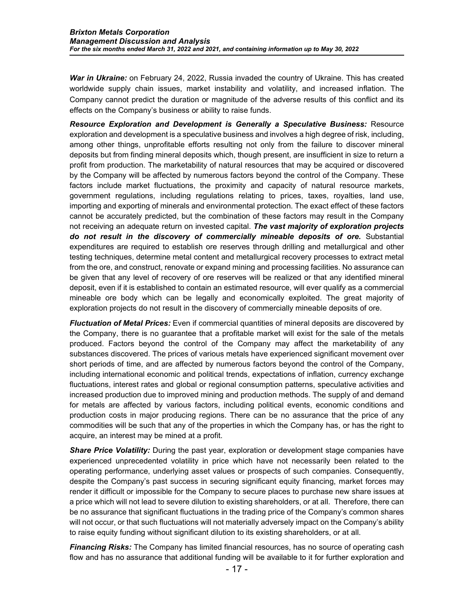*War in Ukraine:* on February 24, 2022, Russia invaded the country of Ukraine. This has created worldwide supply chain issues, market instability and volatility, and increased inflation. The Company cannot predict the duration or magnitude of the adverse results of this conflict and its effects on the Company's business or ability to raise funds.

*Resource Exploration and Development is Generally a Speculative Business:* Resource exploration and development is a speculative business and involves a high degree of risk, including, among other things, unprofitable efforts resulting not only from the failure to discover mineral deposits but from finding mineral deposits which, though present, are insufficient in size to return a profit from production. The marketability of natural resources that may be acquired or discovered by the Company will be affected by numerous factors beyond the control of the Company. These factors include market fluctuations, the proximity and capacity of natural resource markets, government regulations, including regulations relating to prices, taxes, royalties, land use, importing and exporting of minerals and environmental protection. The exact effect of these factors cannot be accurately predicted, but the combination of these factors may result in the Company not receiving an adequate return on invested capital. *The vast majority of exploration projects do not result in the discovery of commercially mineable deposits of ore.* Substantial expenditures are required to establish ore reserves through drilling and metallurgical and other testing techniques, determine metal content and metallurgical recovery processes to extract metal from the ore, and construct, renovate or expand mining and processing facilities. No assurance can be given that any level of recovery of ore reserves will be realized or that any identified mineral deposit, even if it is established to contain an estimated resource, will ever qualify as a commercial mineable ore body which can be legally and economically exploited. The great majority of exploration projects do not result in the discovery of commercially mineable deposits of ore.

*Fluctuation of Metal Prices:* Even if commercial quantities of mineral deposits are discovered by the Company, there is no guarantee that a profitable market will exist for the sale of the metals produced. Factors beyond the control of the Company may affect the marketability of any substances discovered. The prices of various metals have experienced significant movement over short periods of time, and are affected by numerous factors beyond the control of the Company, including international economic and political trends, expectations of inflation, currency exchange fluctuations, interest rates and global or regional consumption patterns, speculative activities and increased production due to improved mining and production methods. The supply of and demand for metals are affected by various factors, including political events, economic conditions and production costs in major producing regions. There can be no assurance that the price of any commodities will be such that any of the properties in which the Company has, or has the right to acquire, an interest may be mined at a profit.

*Share Price Volatility:* During the past year, exploration or development stage companies have experienced unprecedented volatility in price which have not necessarily been related to the operating performance, underlying asset values or prospects of such companies. Consequently, despite the Company's past success in securing significant equity financing, market forces may render it difficult or impossible for the Company to secure places to purchase new share issues at a price which will not lead to severe dilution to existing shareholders, or at all. Therefore, there can be no assurance that significant fluctuations in the trading price of the Company's common shares will not occur, or that such fluctuations will not materially adversely impact on the Company's ability to raise equity funding without significant dilution to its existing shareholders, or at all.

*Financing Risks:* The Company has limited financial resources, has no source of operating cash flow and has no assurance that additional funding will be available to it for further exploration and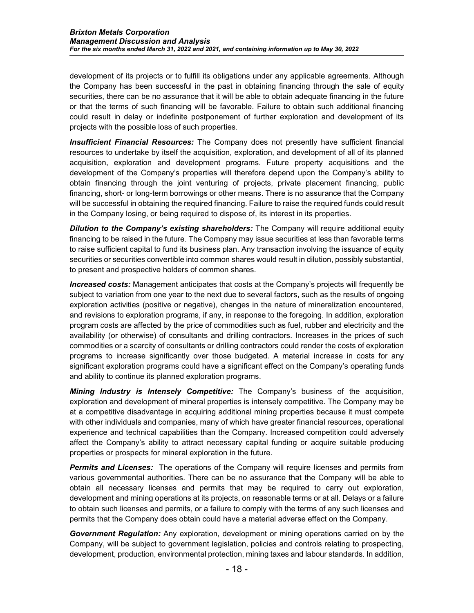development of its projects or to fulfill its obligations under any applicable agreements. Although the Company has been successful in the past in obtaining financing through the sale of equity securities, there can be no assurance that it will be able to obtain adequate financing in the future or that the terms of such financing will be favorable. Failure to obtain such additional financing could result in delay or indefinite postponement of further exploration and development of its projects with the possible loss of such properties.

*Insufficient Financial Resources:* The Company does not presently have sufficient financial resources to undertake by itself the acquisition, exploration, and development of all of its planned acquisition, exploration and development programs. Future property acquisitions and the development of the Company's properties will therefore depend upon the Company's ability to obtain financing through the joint venturing of projects, private placement financing, public financing, short- or long-term borrowings or other means. There is no assurance that the Company will be successful in obtaining the required financing. Failure to raise the required funds could result in the Company losing, or being required to dispose of, its interest in its properties.

*Dilution to the Company's existing shareholders:* The Company will require additional equity financing to be raised in the future. The Company may issue securities at less than favorable terms to raise sufficient capital to fund its business plan. Any transaction involving the issuance of equity securities or securities convertible into common shares would result in dilution, possibly substantial, to present and prospective holders of common shares.

*Increased costs:* Management anticipates that costs at the Company's projects will frequently be subject to variation from one year to the next due to several factors, such as the results of ongoing exploration activities (positive or negative), changes in the nature of mineralization encountered, and revisions to exploration programs, if any, in response to the foregoing. In addition, exploration program costs are affected by the price of commodities such as fuel, rubber and electricity and the availability (or otherwise) of consultants and drilling contractors. Increases in the prices of such commodities or a scarcity of consultants or drilling contractors could render the costs of exploration programs to increase significantly over those budgeted. A material increase in costs for any significant exploration programs could have a significant effect on the Company's operating funds and ability to continue its planned exploration programs.

*Mining Industry is Intensely Competitive:* The Company's business of the acquisition, exploration and development of mineral properties is intensely competitive. The Company may be at a competitive disadvantage in acquiring additional mining properties because it must compete with other individuals and companies, many of which have greater financial resources, operational experience and technical capabilities than the Company. Increased competition could adversely affect the Company's ability to attract necessary capital funding or acquire suitable producing properties or prospects for mineral exploration in the future.

*Permits and Licenses:* The operations of the Company will require licenses and permits from various governmental authorities. There can be no assurance that the Company will be able to obtain all necessary licenses and permits that may be required to carry out exploration, development and mining operations at its projects, on reasonable terms or at all. Delays or a failure to obtain such licenses and permits, or a failure to comply with the terms of any such licenses and permits that the Company does obtain could have a material adverse effect on the Company.

*Government Regulation:* Any exploration, development or mining operations carried on by the Company, will be subject to government legislation, policies and controls relating to prospecting, development, production, environmental protection, mining taxes and labour standards. In addition,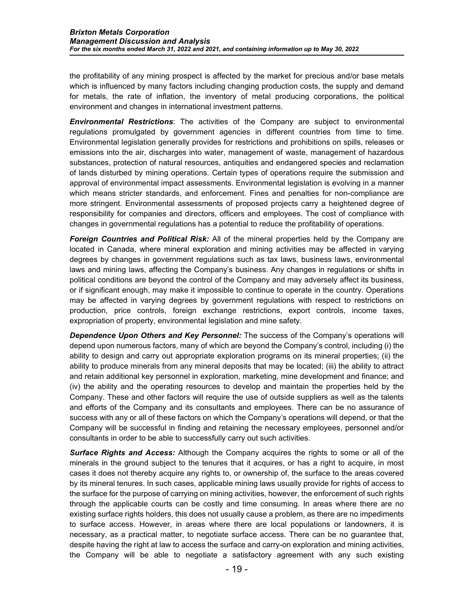the profitability of any mining prospect is affected by the market for precious and/or base metals which is influenced by many factors including changing production costs, the supply and demand for metals, the rate of inflation, the inventory of metal producing corporations, the political environment and changes in international investment patterns.

*Environmental Restrictions*: The activities of the Company are subject to environmental regulations promulgated by government agencies in different countries from time to time. Environmental legislation generally provides for restrictions and prohibitions on spills, releases or emissions into the air, discharges into water, management of waste, management of hazardous substances, protection of natural resources, antiquities and endangered species and reclamation of lands disturbed by mining operations. Certain types of operations require the submission and approval of environmental impact assessments. Environmental legislation is evolving in a manner which means stricter standards, and enforcement. Fines and penalties for non-compliance are more stringent. Environmental assessments of proposed projects carry a heightened degree of responsibility for companies and directors, officers and employees. The cost of compliance with changes in governmental regulations has a potential to reduce the profitability of operations.

*Foreign Countries and Political Risk:* All of the mineral properties held by the Company are located in Canada, where mineral exploration and mining activities may be affected in varying degrees by changes in government regulations such as tax laws, business laws, environmental laws and mining laws, affecting the Company's business. Any changes in regulations or shifts in political conditions are beyond the control of the Company and may adversely affect its business, or if significant enough, may make it impossible to continue to operate in the country. Operations may be affected in varying degrees by government regulations with respect to restrictions on production, price controls, foreign exchange restrictions, export controls, income taxes, expropriation of property, environmental legislation and mine safety.

*Dependence Upon Others and Key Personnel:* The success of the Company's operations will depend upon numerous factors, many of which are beyond the Company's control, including (i) the ability to design and carry out appropriate exploration programs on its mineral properties; (ii) the ability to produce minerals from any mineral deposits that may be located; (iii) the ability to attract and retain additional key personnel in exploration, marketing, mine development and finance; and (iv) the ability and the operating resources to develop and maintain the properties held by the Company. These and other factors will require the use of outside suppliers as well as the talents and efforts of the Company and its consultants and employees. There can be no assurance of success with any or all of these factors on which the Company's operations will depend, or that the Company will be successful in finding and retaining the necessary employees, personnel and/or consultants in order to be able to successfully carry out such activities.

*Surface Rights and Access:* Although the Company acquires the rights to some or all of the minerals in the ground subject to the tenures that it acquires, or has a right to acquire, in most cases it does not thereby acquire any rights to, or ownership of, the surface to the areas covered by its mineral tenures. In such cases, applicable mining laws usually provide for rights of access to the surface for the purpose of carrying on mining activities, however, the enforcement of such rights through the applicable courts can be costly and time consuming. In areas where there are no existing surface rights holders, this does not usually cause a problem, as there are no impediments to surface access. However, in areas where there are local populations or landowners, it is necessary, as a practical matter, to negotiate surface access. There can be no guarantee that, despite having the right at law to access the surface and carry-on exploration and mining activities, the Company will be able to negotiate a satisfactory agreement with any such existing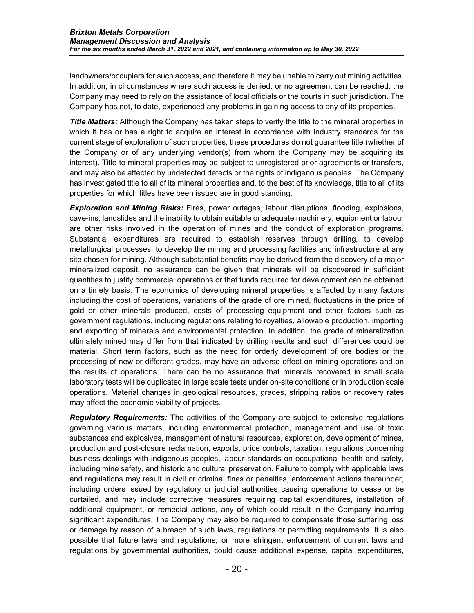landowners/occupiers for such access, and therefore it may be unable to carry out mining activities. In addition, in circumstances where such access is denied, or no agreement can be reached, the Company may need to rely on the assistance of local officials or the courts in such jurisdiction. The Company has not, to date, experienced any problems in gaining access to any of its properties.

**Title Matters:** Although the Company has taken steps to verify the title to the mineral properties in which it has or has a right to acquire an interest in accordance with industry standards for the current stage of exploration of such properties, these procedures do not guarantee title (whether of the Company or of any underlying vendor(s) from whom the Company may be acquiring its interest). Title to mineral properties may be subject to unregistered prior agreements or transfers, and may also be affected by undetected defects or the rights of indigenous peoples. The Company has investigated title to all of its mineral properties and, to the best of its knowledge, title to all of its properties for which titles have been issued are in good standing.

*Exploration and Mining Risks:* Fires, power outages, labour disruptions, flooding, explosions, cave-ins, landslides and the inability to obtain suitable or adequate machinery, equipment or labour are other risks involved in the operation of mines and the conduct of exploration programs. Substantial expenditures are required to establish reserves through drilling, to develop metallurgical processes, to develop the mining and processing facilities and infrastructure at any site chosen for mining. Although substantial benefits may be derived from the discovery of a major mineralized deposit, no assurance can be given that minerals will be discovered in sufficient quantities to justify commercial operations or that funds required for development can be obtained on a timely basis. The economics of developing mineral properties is affected by many factors including the cost of operations, variations of the grade of ore mined, fluctuations in the price of gold or other minerals produced, costs of processing equipment and other factors such as government regulations, including regulations relating to royalties, allowable production, importing and exporting of minerals and environmental protection. In addition, the grade of mineralization ultimately mined may differ from that indicated by drilling results and such differences could be material. Short term factors, such as the need for orderly development of ore bodies or the processing of new or different grades, may have an adverse effect on mining operations and on the results of operations. There can be no assurance that minerals recovered in small scale laboratory tests will be duplicated in large scale tests under on-site conditions or in production scale operations. Material changes in geological resources, grades, stripping ratios or recovery rates may affect the economic viability of projects.

*Regulatory Requirements:* The activities of the Company are subject to extensive regulations governing various matters, including environmental protection, management and use of toxic substances and explosives, management of natural resources, exploration, development of mines, production and post-closure reclamation, exports, price controls, taxation, regulations concerning business dealings with indigenous peoples, labour standards on occupational health and safety, including mine safety, and historic and cultural preservation. Failure to comply with applicable laws and regulations may result in civil or criminal fines or penalties, enforcement actions thereunder, including orders issued by regulatory or judicial authorities causing operations to cease or be curtailed, and may include corrective measures requiring capital expenditures, installation of additional equipment, or remedial actions, any of which could result in the Company incurring significant expenditures. The Company may also be required to compensate those suffering loss or damage by reason of a breach of such laws, regulations or permitting requirements. It is also possible that future laws and regulations, or more stringent enforcement of current laws and regulations by governmental authorities, could cause additional expense, capital expenditures,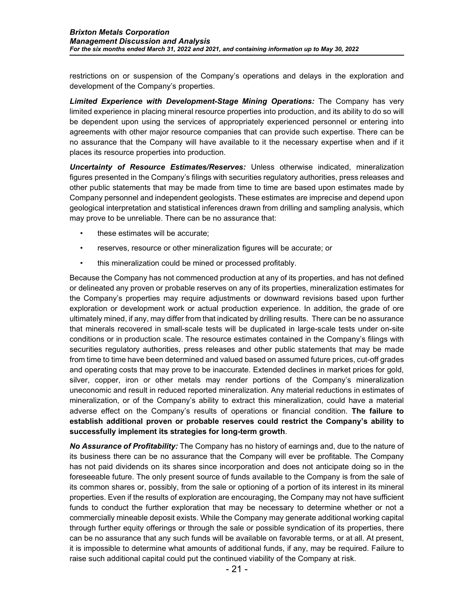restrictions on or suspension of the Company's operations and delays in the exploration and development of the Company's properties.

*Limited Experience with Development-Stage Mining Operations:* The Company has very limited experience in placing mineral resource properties into production, and its ability to do so will be dependent upon using the services of appropriately experienced personnel or entering into agreements with other major resource companies that can provide such expertise. There can be no assurance that the Company will have available to it the necessary expertise when and if it places its resource properties into production.

*Uncertainty of Resource Estimates/Reserves:* Unless otherwise indicated, mineralization figures presented in the Company's filings with securities regulatory authorities, press releases and other public statements that may be made from time to time are based upon estimates made by Company personnel and independent geologists. These estimates are imprecise and depend upon geological interpretation and statistical inferences drawn from drilling and sampling analysis, which may prove to be unreliable. There can be no assurance that:

- these estimates will be accurate;
- reserves, resource or other mineralization figures will be accurate; or
- this mineralization could be mined or processed profitably.

Because the Company has not commenced production at any of its properties, and has not defined or delineated any proven or probable reserves on any of its properties, mineralization estimates for the Company's properties may require adjustments or downward revisions based upon further exploration or development work or actual production experience. In addition, the grade of ore ultimately mined, if any, may differ from that indicated by drilling results. There can be no assurance that minerals recovered in small-scale tests will be duplicated in large-scale tests under on-site conditions or in production scale. The resource estimates contained in the Company's filings with securities regulatory authorities, press releases and other public statements that may be made from time to time have been determined and valued based on assumed future prices, cut-off grades and operating costs that may prove to be inaccurate. Extended declines in market prices for gold, silver, copper, iron or other metals may render portions of the Company's mineralization uneconomic and result in reduced reported mineralization. Any material reductions in estimates of mineralization, or of the Company's ability to extract this mineralization, could have a material adverse effect on the Company's results of operations or financial condition. **The failure to establish additional proven or probable reserves could restrict the Company's ability to successfully implement its strategies for long-term growth**.

*No Assurance of Profitability:* The Company has no history of earnings and, due to the nature of its business there can be no assurance that the Company will ever be profitable. The Company has not paid dividends on its shares since incorporation and does not anticipate doing so in the foreseeable future. The only present source of funds available to the Company is from the sale of its common shares or, possibly, from the sale or optioning of a portion of its interest in its mineral properties. Even if the results of exploration are encouraging, the Company may not have sufficient funds to conduct the further exploration that may be necessary to determine whether or not a commercially mineable deposit exists. While the Company may generate additional working capital through further equity offerings or through the sale or possible syndication of its properties, there can be no assurance that any such funds will be available on favorable terms, or at all. At present, it is impossible to determine what amounts of additional funds, if any, may be required. Failure to raise such additional capital could put the continued viability of the Company at risk.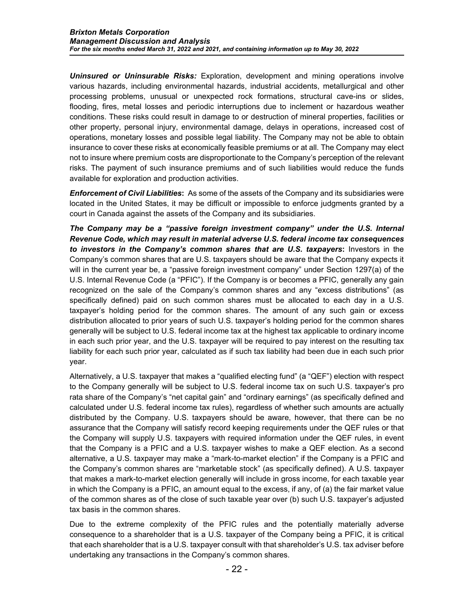*Uninsured or Uninsurable Risks:* Exploration, development and mining operations involve various hazards, including environmental hazards, industrial accidents, metallurgical and other processing problems, unusual or unexpected rock formations, structural cave-ins or slides, flooding, fires, metal losses and periodic interruptions due to inclement or hazardous weather conditions. These risks could result in damage to or destruction of mineral properties, facilities or other property, personal injury, environmental damage, delays in operations, increased cost of operations, monetary losses and possible legal liability. The Company may not be able to obtain insurance to cover these risks at economically feasible premiums or at all. The Company may elect not to insure where premium costs are disproportionate to the Company's perception of the relevant risks. The payment of such insurance premiums and of such liabilities would reduce the funds available for exploration and production activities.

*Enforcement of Civil Liabilities***:** As some of the assets of the Company and its subsidiaries were located in the United States, it may be difficult or impossible to enforce judgments granted by a court in Canada against the assets of the Company and its subsidiaries.

*The Company may be a "passive foreign investment company" under the U.S. Internal Revenue Code, which may result in material adverse U.S. federal income tax consequences to investors in the Company's common shares that are U.S. taxpayers***:** Investors in the Company's common shares that are U.S. taxpayers should be aware that the Company expects it will in the current year be, a "passive foreign investment company" under Section 1297(a) of the U.S. Internal Revenue Code (a "PFIC"). If the Company is or becomes a PFIC, generally any gain recognized on the sale of the Company's common shares and any "excess distributions" (as specifically defined) paid on such common shares must be allocated to each day in a U.S. taxpayer's holding period for the common shares. The amount of any such gain or excess distribution allocated to prior years of such U.S. taxpayer's holding period for the common shares generally will be subject to U.S. federal income tax at the highest tax applicable to ordinary income in each such prior year, and the U.S. taxpayer will be required to pay interest on the resulting tax liability for each such prior year, calculated as if such tax liability had been due in each such prior year.

Alternatively, a U.S. taxpayer that makes a "qualified electing fund" (a "QEF") election with respect to the Company generally will be subject to U.S. federal income tax on such U.S. taxpayer's pro rata share of the Company's "net capital gain" and "ordinary earnings" (as specifically defined and calculated under U.S. federal income tax rules), regardless of whether such amounts are actually distributed by the Company. U.S. taxpayers should be aware, however, that there can be no assurance that the Company will satisfy record keeping requirements under the QEF rules or that the Company will supply U.S. taxpayers with required information under the QEF rules, in event that the Company is a PFIC and a U.S. taxpayer wishes to make a QEF election. As a second alternative, a U.S. taxpayer may make a "mark-to-market election" if the Company is a PFIC and the Company's common shares are "marketable stock" (as specifically defined). A U.S. taxpayer that makes a mark-to-market election generally will include in gross income, for each taxable year in which the Company is a PFIC, an amount equal to the excess, if any, of (a) the fair market value of the common shares as of the close of such taxable year over (b) such U.S. taxpayer's adjusted tax basis in the common shares.

Due to the extreme complexity of the PFIC rules and the potentially materially adverse consequence to a shareholder that is a U.S. taxpayer of the Company being a PFIC, it is critical that each shareholder that is a U.S. taxpayer consult with that shareholder's U.S. tax adviser before undertaking any transactions in the Company's common shares.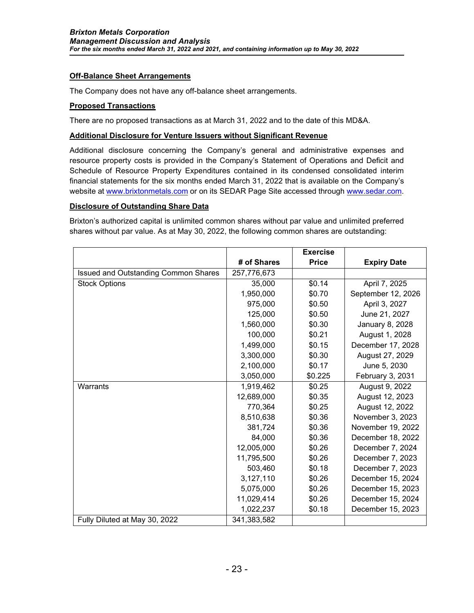### **Off-Balance Sheet Arrangements**

The Company does not have any off-balance sheet arrangements.

### **Proposed Transactions**

There are no proposed transactions as at March 31, 2022 and to the date of this MD&A.

#### **Additional Disclosure for Venture Issuers without Significant Revenue**

Additional disclosure concerning the Company's general and administrative expenses and resource property costs is provided in the Company's Statement of Operations and Deficit and Schedule of Resource Property Expenditures contained in its condensed consolidated interim financial statements for the six months ended March 31, 2022 that is available on the Company's website at [www.brixtonmetals.com](http://www.brixtonmetals.com/) or on its SEDAR Page Site accessed through [www.sedar.com.](http://www.sedar.com/)

#### **Disclosure of Outstanding Share Data**

Brixton's authorized capital is unlimited common shares without par value and unlimited preferred shares without par value. As at May 30, 2022, the following common shares are outstanding:

|                                             |             | <b>Exercise</b> |                    |
|---------------------------------------------|-------------|-----------------|--------------------|
|                                             | # of Shares | <b>Price</b>    | <b>Expiry Date</b> |
| <b>Issued and Outstanding Common Shares</b> | 257,776,673 |                 |                    |
| <b>Stock Options</b>                        | 35,000      | \$0.14          | April 7, 2025      |
|                                             | 1,950,000   | \$0.70          | September 12, 2026 |
|                                             | 975,000     | \$0.50          | April 3, 2027      |
|                                             | 125,000     | \$0.50          | June 21, 2027      |
|                                             | 1,560,000   | \$0.30          | January 8, 2028    |
|                                             | 100,000     | \$0.21          | August 1, 2028     |
|                                             | 1,499,000   | \$0.15          | December 17, 2028  |
|                                             | 3,300,000   | \$0.30          | August 27, 2029    |
|                                             | 2,100,000   | \$0.17          | June 5, 2030       |
|                                             | 3,050,000   | \$0.225         | February 3, 2031   |
| Warrants                                    | 1,919,462   | \$0.25          | August 9, 2022     |
|                                             | 12,689,000  | \$0.35          | August 12, 2023    |
|                                             | 770,364     | \$0.25          | August 12, 2022    |
|                                             | 8,510,638   | \$0.36          | November 3, 2023   |
|                                             | 381,724     | \$0.36          | November 19, 2022  |
|                                             | 84,000      | \$0.36          | December 18, 2022  |
|                                             | 12,005,000  | \$0.26          | December 7, 2024   |
|                                             | 11,795,500  | \$0.26          | December 7, 2023   |
|                                             | 503,460     | \$0.18          | December 7, 2023   |
|                                             | 3,127,110   | \$0.26          | December 15, 2024  |
|                                             | 5,075,000   | \$0.26          | December 15, 2023  |
|                                             | 11,029,414  | \$0.26          | December 15, 2024  |
|                                             | 1,022,237   | \$0.18          | December 15, 2023  |
| Fully Diluted at May 30, 2022               | 341,383,582 |                 |                    |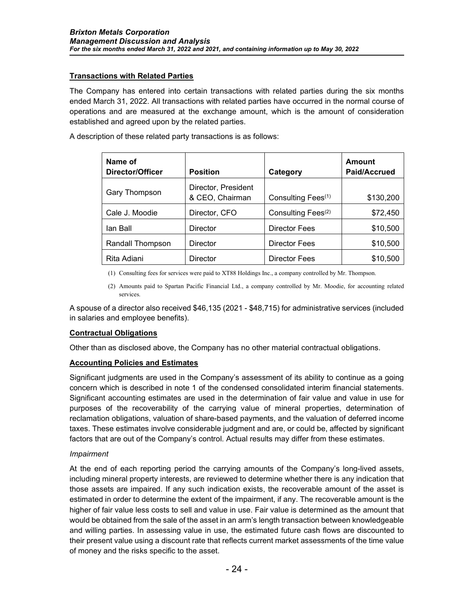# **Transactions with Related Parties**

The Company has entered into certain transactions with related parties during the six months ended March 31, 2022. All transactions with related parties have occurred in the normal course of operations and are measured at the exchange amount, which is the amount of consideration established and agreed upon by the related parties.

A description of these related party transactions is as follows:

| Name of<br>Director/Officer | <b>Position</b>                        | Category                       | <b>Amount</b><br>Paid/Accrued |
|-----------------------------|----------------------------------------|--------------------------------|-------------------------------|
| Gary Thompson               | Director, President<br>& CEO, Chairman | Consulting Fees <sup>(1)</sup> | \$130,200                     |
| Cale J. Moodie              | Director, CFO                          | Consulting Fees <sup>(2)</sup> | \$72,450                      |
| lan Ball                    | Director                               | Director Fees                  | \$10,500                      |
| Randall Thompson            | Director                               | Director Fees                  | \$10,500                      |
| Rita Adiani                 | Director                               | Director Fees                  | \$10,500                      |

(1) Consulting fees for services were paid to XT88 Holdings Inc., a company controlled by Mr. Thompson.

(2) Amounts paid to Spartan Pacific Financial Ltd., a company controlled by Mr. Moodie, for accounting related services.

A spouse of a director also received \$46,135 (2021 - \$48,715) for administrative services (included in salaries and employee benefits).

### **Contractual Obligations**

Other than as disclosed above, the Company has no other material contractual obligations.

### **Accounting Policies and Estimates**

Significant judgments are used in the Company's assessment of its ability to continue as a going concern which is described in note 1 of the condensed consolidated interim financial statements. Significant accounting estimates are used in the determination of fair value and value in use for purposes of the recoverability of the carrying value of mineral properties, determination of reclamation obligations, valuation of share-based payments, and the valuation of deferred income taxes. These estimates involve considerable judgment and are, or could be, affected by significant factors that are out of the Company's control. Actual results may differ from these estimates.

### *Impairment*

At the end of each reporting period the carrying amounts of the Company's long-lived assets, including mineral property interests, are reviewed to determine whether there is any indication that those assets are impaired. If any such indication exists, the recoverable amount of the asset is estimated in order to determine the extent of the impairment, if any. The recoverable amount is the higher of fair value less costs to sell and value in use. Fair value is determined as the amount that would be obtained from the sale of the asset in an arm's length transaction between knowledgeable and willing parties. In assessing value in use, the estimated future cash flows are discounted to their present value using a discount rate that reflects current market assessments of the time value of money and the risks specific to the asset.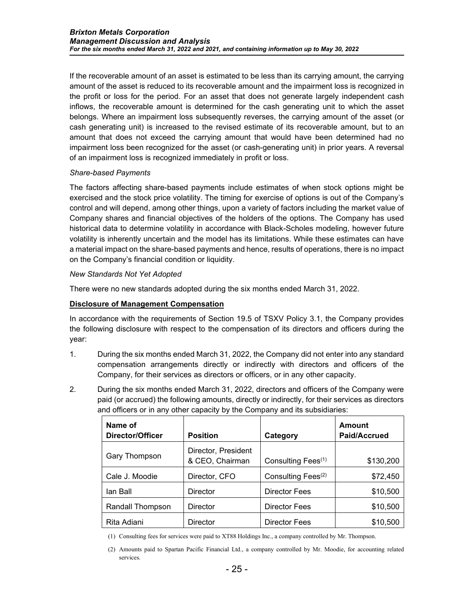If the recoverable amount of an asset is estimated to be less than its carrying amount, the carrying amount of the asset is reduced to its recoverable amount and the impairment loss is recognized in the profit or loss for the period. For an asset that does not generate largely independent cash inflows, the recoverable amount is determined for the cash generating unit to which the asset belongs. Where an impairment loss subsequently reverses, the carrying amount of the asset (or cash generating unit) is increased to the revised estimate of its recoverable amount, but to an amount that does not exceed the carrying amount that would have been determined had no impairment loss been recognized for the asset (or cash-generating unit) in prior years. A reversal of an impairment loss is recognized immediately in profit or loss.

### *Share-based Payments*

The factors affecting share-based payments include estimates of when stock options might be exercised and the stock price volatility. The timing for exercise of options is out of the Company's control and will depend, among other things, upon a variety of factors including the market value of Company shares and financial objectives of the holders of the options. The Company has used historical data to determine volatility in accordance with Black-Scholes modeling, however future volatility is inherently uncertain and the model has its limitations. While these estimates can have a material impact on the share-based payments and hence, results of operations, there is no impact on the Company's financial condition or liquidity.

# *New Standards Not Yet Adopted*

There were no new standards adopted during the six months ended March 31, 2022.

# **Disclosure of Management Compensation**

In accordance with the requirements of Section 19.5 of TSXV Policy 3.1, the Company provides the following disclosure with respect to the compensation of its directors and officers during the year:

- 1. During the six months ended March 31, 2022, the Company did not enter into any standard compensation arrangements directly or indirectly with directors and officers of the Company, for their services as directors or officers, or in any other capacity.
- 2. During the six months ended March 31, 2022, directors and officers of the Company were paid (or accrued) the following amounts, directly or indirectly, for their services as directors and officers or in any other capacity by the Company and its subsidiaries:

| Name of<br>Director/Officer | <b>Position</b>                        | Category                       | <b>Amount</b><br>Paid/Accrued |
|-----------------------------|----------------------------------------|--------------------------------|-------------------------------|
| Gary Thompson               | Director, President<br>& CEO, Chairman | Consulting Fees <sup>(1)</sup> | \$130,200                     |
| Cale J. Moodie              | Director, CFO                          | Consulting Fees <sup>(2)</sup> | \$72,450                      |
| lan Ball                    | <b>Director</b>                        | Director Fees                  | \$10,500                      |
| Randall Thompson            | <b>Director</b>                        | <b>Director Fees</b>           | \$10,500                      |
| Rita Adiani                 | <b>Director</b>                        | <b>Director Fees</b>           | \$10,500                      |

(1) Consulting fees for services were paid to XT88 Holdings Inc., a company controlled by Mr. Thompson.

<sup>(2)</sup> Amounts paid to Spartan Pacific Financial Ltd., a company controlled by Mr. Moodie, for accounting related services.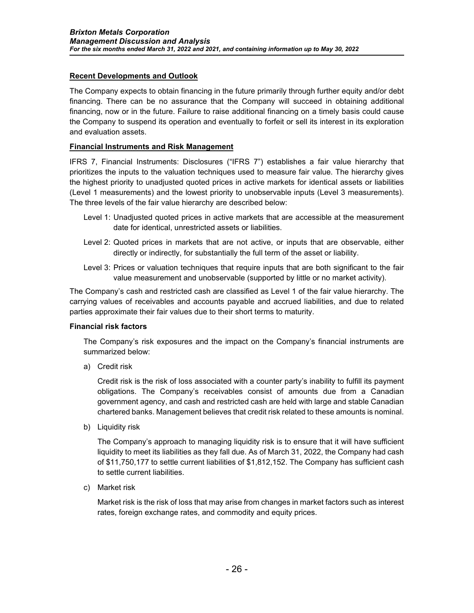# **Recent Developments and Outlook**

The Company expects to obtain financing in the future primarily through further equity and/or debt financing. There can be no assurance that the Company will succeed in obtaining additional financing, now or in the future. Failure to raise additional financing on a timely basis could cause the Company to suspend its operation and eventually to forfeit or sell its interest in its exploration and evaluation assets.

### **Financial Instruments and Risk Management**

IFRS 7, Financial Instruments: Disclosures ("IFRS 7") establishes a fair value hierarchy that prioritizes the inputs to the valuation techniques used to measure fair value. The hierarchy gives the highest priority to unadjusted quoted prices in active markets for identical assets or liabilities (Level 1 measurements) and the lowest priority to unobservable inputs (Level 3 measurements). The three levels of the fair value hierarchy are described below:

- Level 1: Unadjusted quoted prices in active markets that are accessible at the measurement date for identical, unrestricted assets or liabilities.
- Level 2: Quoted prices in markets that are not active, or inputs that are observable, either directly or indirectly, for substantially the full term of the asset or liability.
- Level 3: Prices or valuation techniques that require inputs that are both significant to the fair value measurement and unobservable (supported by little or no market activity).

The Company's cash and restricted cash are classified as Level 1 of the fair value hierarchy. The carrying values of receivables and accounts payable and accrued liabilities, and due to related parties approximate their fair values due to their short terms to maturity.

### **Financial risk factors**

The Company's risk exposures and the impact on the Company's financial instruments are summarized below:

a) Credit risk

Credit risk is the risk of loss associated with a counter party's inability to fulfill its payment obligations. The Company's receivables consist of amounts due from a Canadian government agency, and cash and restricted cash are held with large and stable Canadian chartered banks. Management believes that credit risk related to these amounts is nominal.

b) Liquidity risk

The Company's approach to managing liquidity risk is to ensure that it will have sufficient liquidity to meet its liabilities as they fall due. As of March 31, 2022, the Company had cash of \$11,750,177 to settle current liabilities of \$1,812,152. The Company has sufficient cash to settle current liabilities.

c) Market risk

Market risk is the risk of loss that may arise from changes in market factors such as interest rates, foreign exchange rates, and commodity and equity prices.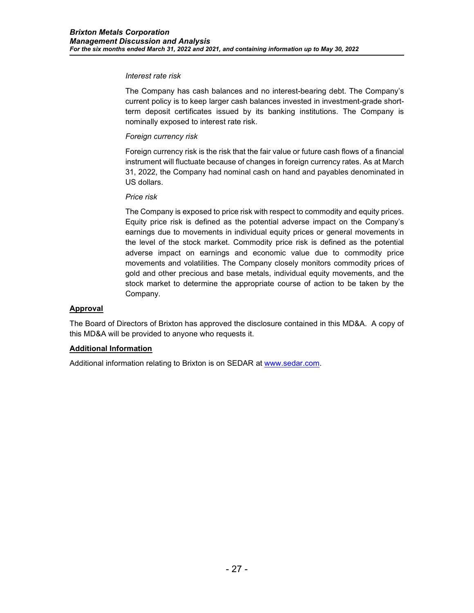#### *Interest rate risk*

The Company has cash balances and no interest-bearing debt. The Company's current policy is to keep larger cash balances invested in investment-grade shortterm deposit certificates issued by its banking institutions. The Company is nominally exposed to interest rate risk.

# *Foreign currency risk*

Foreign currency risk is the risk that the fair value or future cash flows of a financial instrument will fluctuate because of changes in foreign currency rates. As at March 31, 2022, the Company had nominal cash on hand and payables denominated in US dollars.

### *Price risk*

The Company is exposed to price risk with respect to commodity and equity prices. Equity price risk is defined as the potential adverse impact on the Company's earnings due to movements in individual equity prices or general movements in the level of the stock market. Commodity price risk is defined as the potential adverse impact on earnings and economic value due to commodity price movements and volatilities. The Company closely monitors commodity prices of gold and other precious and base metals, individual equity movements, and the stock market to determine the appropriate course of action to be taken by the Company.

### **Approval**

The Board of Directors of Brixton has approved the disclosure contained in this MD&A. A copy of this MD&A will be provided to anyone who requests it.

### **Additional Information**

Additional information relating to Brixton is on SEDAR at [www.sedar.com.](http://www.sedar.com/)